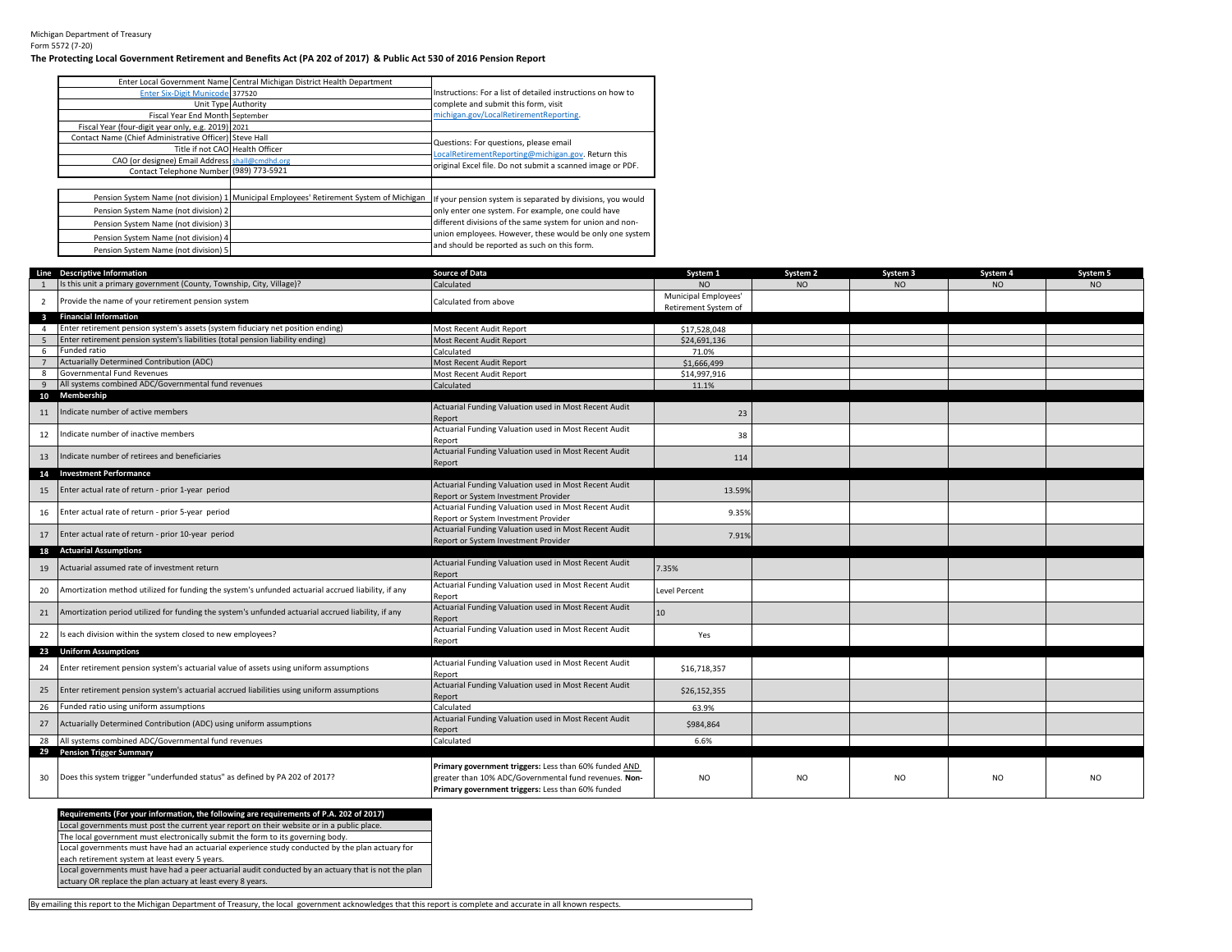## **The Protecting Local Government Retirement and Benefits Act (PA 202 of 2017) & Public Act 530 of 2016 Pension Report**

|                                                        | Enter Local Government Name Central Michigan District Health Department                 |                                                             |
|--------------------------------------------------------|-----------------------------------------------------------------------------------------|-------------------------------------------------------------|
| Enter Six-Digit Municode 377520                        |                                                                                         | Instructions: For a list of detailed instructions on how to |
| Unit Type Authority                                    |                                                                                         | complete and submit this form, visit                        |
| Fiscal Year End Month September                        |                                                                                         | michigan.gov/LocalRetirementReporting.                      |
| Fiscal Year (four-digit year only, e.g. 2019) 2021     |                                                                                         |                                                             |
| Contact Name (Chief Administrative Officer) Steve Hall |                                                                                         | Questions: For questions, please email                      |
| Title if not CAO Health Officer                        |                                                                                         | LocalRetirementReporting@michigan.gov. Return this          |
| CAO (or designee) Email Address shall@cmdhd.org        |                                                                                         |                                                             |
| Contact Telephone Number (989) 773-5921                |                                                                                         | original Excel file. Do not submit a scanned image or PDF.  |
|                                                        |                                                                                         |                                                             |
|                                                        | Pension System Name (not division) 1 Municipal Employees' Retirement System of Michigan | If your pension system is separated by divisions, you would |
| Pension System Name (not division) 2                   |                                                                                         | only enter one system. For example, one could have          |
| Pension System Name (not division) 3                   |                                                                                         | different divisions of the same system for union and non-   |
| Pension System Name (not division) 4                   |                                                                                         | union employees. However, these would be only one system    |
| Pension System Name (not division) 5                   |                                                                                         | and should be reported as such on this form.                |

|                         | Line Descriptive Information                                                                          | <b>Source of Data</b>                                                                                                                                               | System 1                                     | System 2       | System 3       | System 4       | System 5  |
|-------------------------|-------------------------------------------------------------------------------------------------------|---------------------------------------------------------------------------------------------------------------------------------------------------------------------|----------------------------------------------|----------------|----------------|----------------|-----------|
|                         | Is this unit a primary government (County, Township, City, Village)?                                  | Calculated                                                                                                                                                          | <b>NO</b>                                    | NO.            | <b>NO</b>      | NO             | NO.       |
| $\overline{2}$          | Provide the name of your retirement pension system                                                    | Calculated from above                                                                                                                                               | Municipal Employees'<br>Retirement System of |                |                |                |           |
| $\overline{\mathbf{3}}$ | <b>Financial Information</b>                                                                          |                                                                                                                                                                     |                                              |                |                |                |           |
| 4                       | Enter retirement pension system's assets (system fiduciary net position ending)                       | Most Recent Audit Report                                                                                                                                            | \$17,528,048                                 |                |                |                |           |
|                         | Enter retirement pension system's liabilities (total pension liability ending)                        | Most Recent Audit Report                                                                                                                                            | \$24,691,136                                 |                |                |                |           |
| 6                       | Funded ratio                                                                                          | Calculated                                                                                                                                                          | 71.0%                                        |                |                |                |           |
| $\overline{7}$          | Actuarially Determined Contribution (ADC)                                                             | Most Recent Audit Report                                                                                                                                            | \$1,666,499                                  |                |                |                |           |
| 8                       | Governmental Fund Revenues                                                                            | Most Recent Audit Report                                                                                                                                            | \$14,997,916                                 |                |                |                |           |
| 9                       | All systems combined ADC/Governmental fund revenues                                                   | Calculated                                                                                                                                                          | 11.1%                                        |                |                |                |           |
|                         | 10 Membership                                                                                         |                                                                                                                                                                     |                                              |                |                |                |           |
| 11                      | Indicate number of active members                                                                     | Actuarial Funding Valuation used in Most Recent Audit<br>Report                                                                                                     | 23                                           |                |                |                |           |
| 12                      | Indicate number of inactive members                                                                   | Actuarial Funding Valuation used in Most Recent Audit<br>Report                                                                                                     | 38                                           |                |                |                |           |
| 13                      | Indicate number of retirees and beneficiaries                                                         | Actuarial Funding Valuation used in Most Recent Audit<br>Report                                                                                                     | 114                                          |                |                |                |           |
|                         | 14 Investment Performance                                                                             |                                                                                                                                                                     |                                              |                |                |                |           |
|                         | Enter actual rate of return - prior 1-year period                                                     | Actuarial Funding Valuation used in Most Recent Audit                                                                                                               | 13.59%                                       |                |                |                |           |
| 15                      |                                                                                                       | Report or System Investment Provider                                                                                                                                |                                              |                |                |                |           |
| 16                      | Enter actual rate of return - prior 5-year period                                                     | Actuarial Funding Valuation used in Most Recent Audit                                                                                                               | 9.35%                                        |                |                |                |           |
|                         |                                                                                                       | Report or System Investment Provider                                                                                                                                |                                              |                |                |                |           |
|                         | 17 Enter actual rate of return - prior 10-year period                                                 | Actuarial Funding Valuation used in Most Recent Audit                                                                                                               | 7.91%                                        |                |                |                |           |
|                         |                                                                                                       | Report or System Investment Provider                                                                                                                                |                                              |                |                |                |           |
| 18                      | <b>Actuarial Assumptions</b>                                                                          |                                                                                                                                                                     |                                              |                |                |                |           |
| 19                      | Actuarial assumed rate of investment return                                                           | Actuarial Funding Valuation used in Most Recent Audit<br>Report                                                                                                     | 7.35%                                        |                |                |                |           |
| 20                      | Amortization method utilized for funding the system's unfunded actuarial accrued liability, if any    | Actuarial Funding Valuation used in Most Recent Audit<br>Report                                                                                                     | <b>Level Percent</b>                         |                |                |                |           |
|                         | 21 Amortization period utilized for funding the system's unfunded actuarial accrued liability, if any | Actuarial Funding Valuation used in Most Recent Audit<br>Report                                                                                                     | 10                                           |                |                |                |           |
| 22                      | Is each division within the system closed to new employees?                                           | Actuarial Funding Valuation used in Most Recent Audit<br>Report                                                                                                     | Yes                                          |                |                |                |           |
|                         | 23 Uniform Assumptions                                                                                |                                                                                                                                                                     |                                              |                |                |                |           |
| 24                      | Enter retirement pension system's actuarial value of assets using uniform assumptions                 | Actuarial Funding Valuation used in Most Recent Audit<br>Report                                                                                                     | \$16,718,357                                 |                |                |                |           |
| 25                      | Enter retirement pension system's actuarial accrued liabilities using uniform assumptions             | Actuarial Funding Valuation used in Most Recent Audit<br>Report                                                                                                     | \$26,152,355                                 |                |                |                |           |
| 26                      | Funded ratio using uniform assumptions                                                                | Calculated                                                                                                                                                          | 63.9%                                        |                |                |                |           |
|                         | 27 Actuarially Determined Contribution (ADC) using uniform assumptions                                | Actuarial Funding Valuation used in Most Recent Audit<br>Report                                                                                                     | \$984,864                                    |                |                |                |           |
|                         | 28 All systems combined ADC/Governmental fund revenues                                                | Calculated                                                                                                                                                          | 6.6%                                         |                |                |                |           |
|                         | 29 Pension Trigger Summary                                                                            |                                                                                                                                                                     |                                              |                |                |                |           |
| 30                      | Does this system trigger "underfunded status" as defined by PA 202 of 2017?                           | Primary government triggers: Less than 60% funded AND<br>greater than 10% ADC/Governmental fund revenues. Non-<br>Primary government triggers: Less than 60% funded | <b>NO</b>                                    | N <sub>O</sub> | N <sub>O</sub> | N <sub>O</sub> | <b>NO</b> |

**Requirements (For your information, the following are requirements of P.A. 202 of 2017)** Local governments must post the current year report on their website or in a public place. Local governments must have had an actuarial experience study conducted by the plan actuary for each retirement system at least every 5 years. The local government must electronically submit the form to its governing body. Local governments must have had a peer actuarial audit conducted by an actuary that is not the plan

actuary OR replace the plan actuary at least every 8 years.

By emailing this report to the Michigan Department of Treasury, the local government acknowledges that this report is complete and accurate in all known respects.